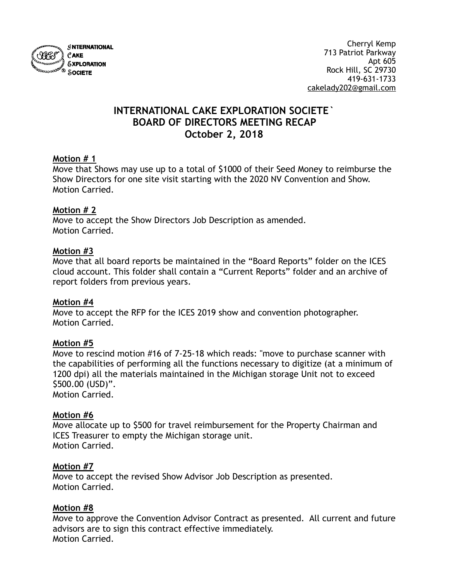

# **INTERNATIONAL CAKE EXPLORATION SOCIETE` BOARD OF DIRECTORS MEETING RECAP October 2, 2018**

#### **Motion # 1**

Move that Shows may use up to a total of \$1000 of their Seed Money to reimburse the Show Directors for one site visit starting with the 2020 NV Convention and Show. Motion Carried.

# **Motion # 2**

Move to accept the Show Directors Job Description as amended. Motion Carried.

# **Motion #3**

Move that all board reports be maintained in the "Board Reports" folder on the ICES cloud account. This folder shall contain a "Current Reports" folder and an archive of report folders from previous years.

#### **Motion #4**

Move to accept the RFP for the ICES 2019 show and convention photographer. Motion Carried.

# **Motion #5**

Move to rescind motion #16 of 7-25-18 which reads: "move to purchase scanner with the capabilities of performing all the functions necessary to digitize (at a minimum of 1200 dpi) all the materials maintained in the Michigan storage Unit not to exceed \$500.00 (USD)".

Motion Carried.

#### **Motion #6**

Move allocate up to \$500 for travel reimbursement for the Property Chairman and ICES Treasurer to empty the Michigan storage unit. Motion Carried.

#### **Motion #7**

Move to accept the revised Show Advisor Job Description as presented. Motion Carried.

#### **Motion #8**

Move to approve the Convention Advisor Contract as presented. All current and future advisors are to sign this contract effective immediately. Motion Carried.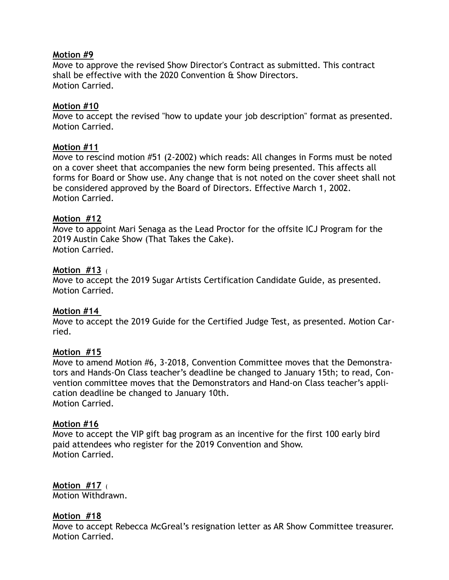#### **Motion #9**

Move to approve the revised Show Director's Contract as submitted. This contract shall be effective with the 2020 Convention & Show Directors. Motion Carried.

#### **Motion #10**

Move to accept the revised "how to update your job description" format as presented. Motion Carried.

# **Motion #11**

Move to rescind motion #51 (2-2002) which reads: All changes in Forms must be noted on a cover sheet that accompanies the new form being presented. This affects all forms for Board or Show use. Any change that is not noted on the cover sheet shall not be considered approved by the Board of Directors. Effective March 1, 2002. Motion Carried.

# **Motion #12**

Move to appoint Mari Senaga as the Lead Proctor for the offsite ICJ Program for the 2019 Austin Cake Show (That Takes the Cake). Motion Carried.

# **Motion #13** (

Move to accept the 2019 Sugar Artists Certification Candidate Guide, as presented. Motion Carried.

# **Motion #14**

Move to accept the 2019 Guide for the Certified Judge Test, as presented. Motion Carried.

# **Motion #15**

Move to amend Motion #6, 3-2018, Convention Committee moves that the Demonstrators and Hands-On Class teacher's deadline be changed to January 15th; to read, Convention committee moves that the Demonstrators and Hand-on Class teacher's application deadline be changed to January 10th. Motion Carried.

#### **Motion #16**

Move to accept the VIP gift bag program as an incentive for the first 100 early bird paid attendees who register for the 2019 Convention and Show. Motion Carried.

**Motion #17** ( Motion Withdrawn.

# **Motion #18**

Move to accept Rebecca McGreal's resignation letter as AR Show Committee treasurer. Motion Carried.